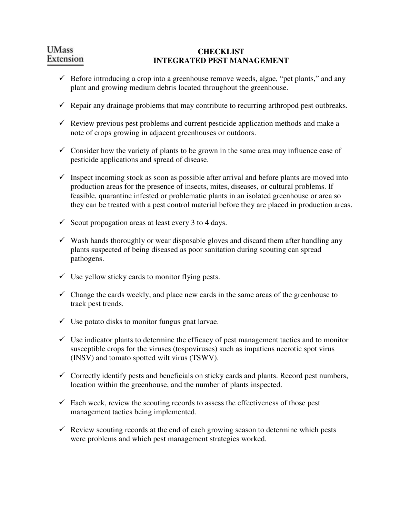### **CHECKLIST INTEGRATED PEST MANAGEMENT**

- $\checkmark$  Before introducing a crop into a greenhouse remove weeds, algae, "pet plants," and any plant and growing medium debris located throughout the greenhouse.
- $\checkmark$  Repair any drainage problems that may contribute to recurring arthropod pest outbreaks.
- $\checkmark$  Review previous pest problems and current pesticide application methods and make a note of crops growing in adjacent greenhouses or outdoors.
- $\checkmark$  Consider how the variety of plants to be grown in the same area may influence ease of pesticide applications and spread of disease.
- $\checkmark$  Inspect incoming stock as soon as possible after arrival and before plants are moved into production areas for the presence of insects, mites, diseases, or cultural problems. If feasible, quarantine infested or problematic plants in an isolated greenhouse or area so they can be treated with a pest control material before they are placed in production areas.
- $\checkmark$  Scout propagation areas at least every 3 to 4 days.
- $\checkmark$  Wash hands thoroughly or wear disposable gloves and discard them after handling any plants suspected of being diseased as poor sanitation during scouting can spread pathogens.
- $\checkmark$  Use yellow sticky cards to monitor flying pests.
- $\checkmark$  Change the cards weekly, and place new cards in the same areas of the greenhouse to track pest trends.
- $\checkmark$  Use potato disks to monitor fungus gnat larvae.
- $\checkmark$  Use indicator plants to determine the efficacy of pest management tactics and to monitor susceptible crops for the viruses (tospoviruses) such as impatiens necrotic spot virus (INSV) and tomato spotted wilt virus (TSWV).
- $\checkmark$  Correctly identify pests and beneficials on sticky cards and plants. Record pest numbers, location within the greenhouse, and the number of plants inspected.
- $\checkmark$  Each week, review the scouting records to assess the effectiveness of those pest management tactics being implemented.
- $\checkmark$  Review scouting records at the end of each growing season to determine which pests were problems and which pest management strategies worked.

# **UMass** Extension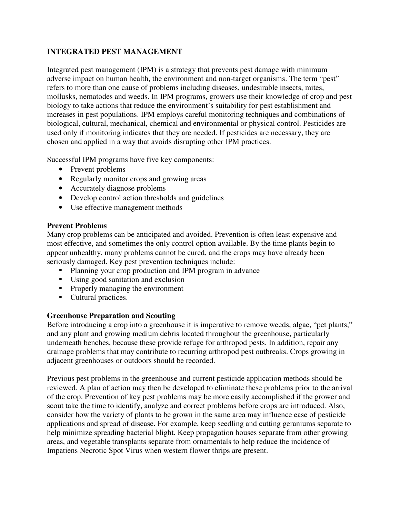# **INTEGRATED PEST MANAGEMENT**

Integrated pest management (IPM) is a strategy that prevents pest damage with minimum adverse impact on human health, the environment and non-target organisms. The term "pest" refers to more than one cause of problems including diseases, undesirable insects, mites, mollusks, nematodes and weeds. In IPM programs, growers use their knowledge of crop and pest biology to take actions that reduce the environment's suitability for pest establishment and increases in pest populations. IPM employs careful monitoring techniques and combinations of biological, cultural, mechanical, chemical and environmental or physical control. Pesticides are used only if monitoring indicates that they are needed. If pesticides are necessary, they are chosen and applied in a way that avoids disrupting other IPM practices.

Successful IPM programs have five key components:

- Prevent problems
- Regularly monitor crops and growing areas
- Accurately diagnose problems
- Develop control action thresholds and guidelines
- Use effective management methods

## **Prevent Problems**

Many crop problems can be anticipated and avoided. Prevention is often least expensive and most effective, and sometimes the only control option available. By the time plants begin to appear unhealthy, many problems cannot be cured, and the crops may have already been seriously damaged. Key pest prevention techniques include:

- Planning your crop production and IPM program in advance
- Using good sanitation and exclusion
- **•** Properly managing the environment
- Cultural practices.

## **Greenhouse Preparation and Scouting**

Before introducing a crop into a greenhouse it is imperative to remove weeds, algae, "pet plants," and any plant and growing medium debris located throughout the greenhouse, particularly underneath benches, because these provide refuge for arthropod pests. In addition, repair any drainage problems that may contribute to recurring arthropod pest outbreaks. Crops growing in adjacent greenhouses or outdoors should be recorded.

Previous pest problems in the greenhouse and current pesticide application methods should be reviewed. A plan of action may then be developed to eliminate these problems prior to the arrival of the crop. Prevention of key pest problems may be more easily accomplished if the grower and scout take the time to identify, analyze and correct problems before crops are introduced. Also, consider how the variety of plants to be grown in the same area may influence ease of pesticide applications and spread of disease. For example, keep seedling and cutting geraniums separate to help minimize spreading bacterial blight. Keep propagation houses separate from other growing areas, and vegetable transplants separate from ornamentals to help reduce the incidence of Impatiens Necrotic Spot Virus when western flower thrips are present.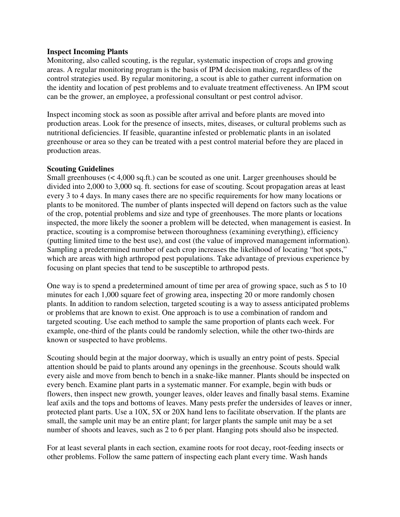#### **Inspect Incoming Plants**

Monitoring, also called scouting, is the regular, systematic inspection of crops and growing areas. A regular monitoring program is the basis of IPM decision making, regardless of the control strategies used. By regular monitoring, a scout is able to gather current information on the identity and location of pest problems and to evaluate treatment effectiveness. An IPM scout can be the grower, an employee, a professional consultant or pest control advisor.

Inspect incoming stock as soon as possible after arrival and before plants are moved into production areas. Look for the presence of insects, mites, diseases, or cultural problems such as nutritional deficiencies. If feasible, quarantine infested or problematic plants in an isolated greenhouse or area so they can be treated with a pest control material before they are placed in production areas.

#### **Scouting Guidelines**

Small greenhouses (< 4,000 sq.ft.) can be scouted as one unit. Larger greenhouses should be divided into 2,000 to 3,000 sq. ft. sections for ease of scouting. Scout propagation areas at least every 3 to 4 days. In many cases there are no specific requirements for how many locations or plants to be monitored. The number of plants inspected will depend on factors such as the value of the crop, potential problems and size and type of greenhouses. The more plants or locations inspected, the more likely the sooner a problem will be detected, when management is easiest. In practice, scouting is a compromise between thoroughness (examining everything), efficiency (putting limited time to the best use), and cost (the value of improved management information). Sampling a predetermined number of each crop increases the likelihood of locating "hot spots," which are areas with high arthropod pest populations. Take advantage of previous experience by focusing on plant species that tend to be susceptible to arthropod pests.

One way is to spend a predetermined amount of time per area of growing space, such as 5 to 10 minutes for each 1,000 square feet of growing area, inspecting 20 or more randomly chosen plants. In addition to random selection, targeted scouting is a way to assess anticipated problems or problems that are known to exist. One approach is to use a combination of random and targeted scouting. Use each method to sample the same proportion of plants each week. For example, one-third of the plants could be randomly selection, while the other two-thirds are known or suspected to have problems.

Scouting should begin at the major doorway, which is usually an entry point of pests. Special attention should be paid to plants around any openings in the greenhouse. Scouts should walk every aisle and move from bench to bench in a snake-like manner. Plants should be inspected on every bench. Examine plant parts in a systematic manner. For example, begin with buds or flowers, then inspect new growth, younger leaves, older leaves and finally basal stems. Examine leaf axils and the tops and bottoms of leaves. Many pests prefer the undersides of leaves or inner, protected plant parts. Use a 10X, 5X or 20X hand lens to facilitate observation. If the plants are small, the sample unit may be an entire plant; for larger plants the sample unit may be a set number of shoots and leaves, such as 2 to 6 per plant. Hanging pots should also be inspected.

For at least several plants in each section, examine roots for root decay, root-feeding insects or other problems. Follow the same pattern of inspecting each plant every time. Wash hands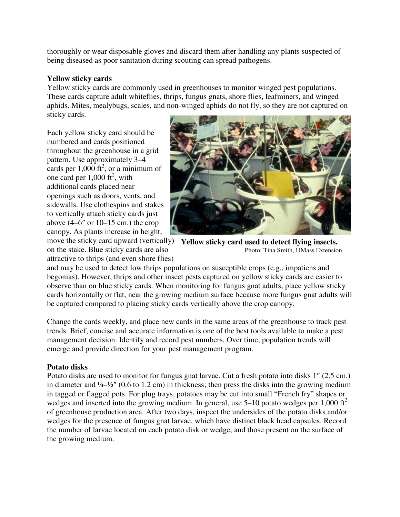thoroughly or wear disposable gloves and discard them after handling any plants suspected of being diseased as poor sanitation during scouting can spread pathogens.

### **Yellow sticky cards**

Yellow sticky cards are commonly used in greenhouses to monitor winged pest populations. These cards capture adult whiteflies, thrips, fungus gnats, shore flies, leafminers, and winged aphids. Mites, mealybugs, scales, and non-winged aphids do not fly, so they are not captured on sticky cards.

Each yellow sticky card should be numbered and cards positioned throughout the greenhouse in a grid pattern. Use approximately 3–4 cards per  $1,000$  ft<sup>2</sup>, or a minimum of one card per  $1,000$  ft<sup>2</sup>, with additional cards placed near openings such as doors, vents, and sidewalls. Use clothespins and stakes to vertically attach sticky cards just above  $(4-6"$  or  $10-15$  cm.) the crop canopy. As plants increase in height,

on the stake. Blue sticky cards are also attractive to thrips (and even shore flies)



move the sticky card upward (vertically) **Yellow sticky card used to detect flying insects.**  Photo: Tina Smith, UMass Extension

and may be used to detect low thrips populations on susceptible crops (e.g., impatiens and begonias). However, thrips and other insect pests captured on yellow sticky cards are easier to observe than on blue sticky cards. When monitoring for fungus gnat adults, place yellow sticky cards horizontally or flat, near the growing medium surface because more fungus gnat adults will be captured compared to placing sticky cards vertically above the crop canopy.

Change the cards weekly, and place new cards in the same areas of the greenhouse to track pest trends. Brief, concise and accurate information is one of the best tools available to make a pest management decision. Identify and record pest numbers. Over time, population trends will emerge and provide direction for your pest management program.

## **Potato disks**

Potato disks are used to monitor for fungus gnat larvae. Cut a fresh potato into disks 1″ (2.5 cm.) in diameter and  $\frac{1}{4}$ – $\frac{1}{2}$ " (0.6 to 1.2 cm) in thickness; then press the disks into the growing medium in tagged or flagged pots. For plug trays, potatoes may be cut into small "French fry" shapes or wedges and inserted into the growing medium. In general, use  $5-10$  potato wedges per 1,000 ft<sup>2</sup> of greenhouse production area. After two days, inspect the undersides of the potato disks and/or wedges for the presence of fungus gnat larvae, which have distinct black head capsules. Record the number of larvae located on each potato disk or wedge, and those present on the surface of the growing medium.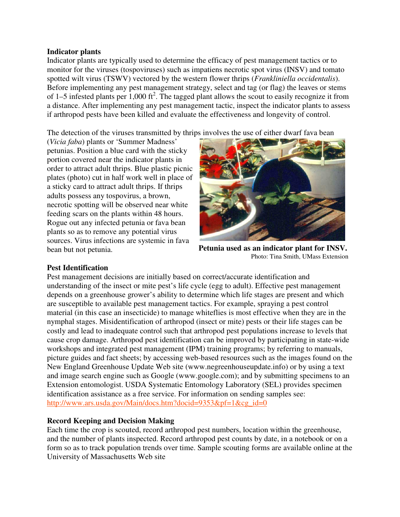#### **Indicator plants**

Indicator plants are typically used to determine the efficacy of pest management tactics or to monitor for the viruses (tospoviruses) such as impatiens necrotic spot virus (INSV) and tomato spotted wilt virus (TSWV) vectored by the western flower thrips (*Frankliniella occidentalis*). Before implementing any pest management strategy, select and tag (or flag) the leaves or stems of 1–5 infested plants per  $1,000$  ft<sup>2</sup>. The tagged plant allows the scout to easily recognize it from a distance. After implementing any pest management tactic, inspect the indicator plants to assess if arthropod pests have been killed and evaluate the effectiveness and longevity of control.

The detection of the viruses transmitted by thrips involves the use of either dwarf fava bean

(*Vicia faba*) plants or 'Summer Madness' petunias. Position a blue card with the sticky portion covered near the indicator plants in order to attract adult thrips. Blue plastic picnic plates (photo) cut in half work well in place of a sticky card to attract adult thrips. If thrips adults possess any tospovirus, a brown, necrotic spotting will be observed near white feeding scars on the plants within 48 hours. Rogue out any infected petunia or fava bean plants so as to remove any potential virus sources. Virus infections are systemic in fava bean but not petunia.



**Petunia used as an indicator plant for INSV.**  Photo: Tina Smith, UMass Extension

#### **Pest Identification**

Pest management decisions are initially based on correct/accurate identification and understanding of the insect or mite pest's life cycle (egg to adult). Effective pest management depends on a greenhouse grower's ability to determine which life stages are present and which are susceptible to available pest management tactics. For example, spraying a pest control material (in this case an insecticide) to manage whiteflies is most effective when they are in the nymphal stages. Misidentification of arthropod (insect or mite) pests or their life stages can be costly and lead to inadequate control such that arthropod pest populations increase to levels that cause crop damage. Arthropod pest identification can be improved by participating in state-wide workshops and integrated pest management (IPM) training programs; by referring to manuals, picture guides and fact sheets; by accessing web-based resources such as the images found on the New England Greenhouse Update Web site (www.negreenhouseupdate.info) or by using a text and image search engine such as Google (www.google.com); and by submitting specimens to an Extension entomologist. USDA Systematic Entomology Laboratory (SEL) provides specimen identification assistance as a free service. For information on sending samples see: http://www.ars.usda.gov/Main/docs.htm?docid=9353&pf=1&cg\_id=0

## **Record Keeping and Decision Making**

Each time the crop is scouted, record arthropod pest numbers, location within the greenhouse, and the number of plants inspected. Record arthropod pest counts by date, in a notebook or on a form so as to track population trends over time. Sample scouting forms are available online at the University of Massachusetts Web site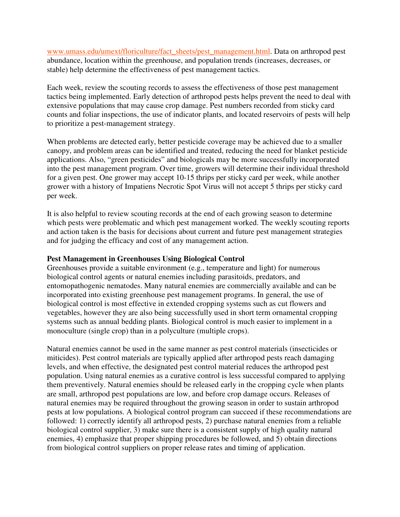www.umass.edu/umext/floriculture/fact\_sheets/pest\_management.html. Data on arthropod pest abundance, location within the greenhouse, and population trends (increases, decreases, or stable) help determine the effectiveness of pest management tactics.

Each week, review the scouting records to assess the effectiveness of those pest management tactics being implemented. Early detection of arthropod pests helps prevent the need to deal with extensive populations that may cause crop damage. Pest numbers recorded from sticky card counts and foliar inspections, the use of indicator plants, and located reservoirs of pests will help to prioritize a pest-management strategy.

When problems are detected early, better pesticide coverage may be achieved due to a smaller canopy, and problem areas can be identified and treated, reducing the need for blanket pesticide applications. Also, "green pesticides" and biologicals may be more successfully incorporated into the pest management program. Over time, growers will determine their individual threshold for a given pest. One grower may accept 10-15 thrips per sticky card per week, while another grower with a history of Impatiens Necrotic Spot Virus will not accept 5 thrips per sticky card per week.

It is also helpful to review scouting records at the end of each growing season to determine which pests were problematic and which pest management worked. The weekly scouting reports and action taken is the basis for decisions about current and future pest management strategies and for judging the efficacy and cost of any management action.

#### **Pest Management in Greenhouses Using Biological Control**

Greenhouses provide a suitable environment (e.g., temperature and light) for numerous biological control agents or natural enemies including parasitoids, predators, and entomopathogenic nematodes. Many natural enemies are commercially available and can be incorporated into existing greenhouse pest management programs. In general, the use of biological control is most effective in extended cropping systems such as cut flowers and vegetables, however they are also being successfully used in short term ornamental cropping systems such as annual bedding plants. Biological control is much easier to implement in a monoculture (single crop) than in a polyculture (multiple crops).

Natural enemies cannot be used in the same manner as pest control materials (insecticides or miticides). Pest control materials are typically applied after arthropod pests reach damaging levels, and when effective, the designated pest control material reduces the arthropod pest population. Using natural enemies as a curative control is less successful compared to applying them preventively. Natural enemies should be released early in the cropping cycle when plants are small, arthropod pest populations are low, and before crop damage occurs. Releases of natural enemies may be required throughout the growing season in order to sustain arthropod pests at low populations. A biological control program can succeed if these recommendations are followed: 1) correctly identify all arthropod pests, 2) purchase natural enemies from a reliable biological control supplier, 3) make sure there is a consistent supply of high quality natural enemies, 4) emphasize that proper shipping procedures be followed, and 5) obtain directions from biological control suppliers on proper release rates and timing of application.